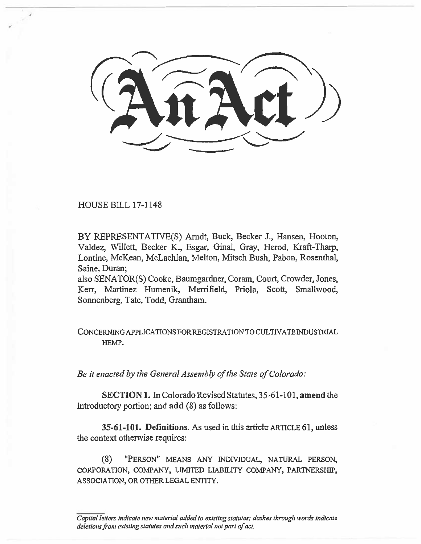HOUSE BILL 17-1148

BY REPRESENTATIVE(S) Arndt, Buck, Becker 3., Hansen, Hooton, Valdez, Willett, Becker K., Esgar, Ginal, Gray, Herod, Kraft-Tharp, Lontine, McKean, McLachlan, Melton, Mitsch Bush, Pabon, Rosenthal, Saine, Duran;

also SENATOR(S) Cooke, Baumgardner, Coram, Court, Crowder, Jones, Kerr, Martinez Humenik, Merrifield, Priola, Scott, Smallwood, Sonnenberg, Tate, Todd, Grantham.

## CONCERNING APPLICATIONS FOR REGISTRATION TO CULTIVATE INDUSTRIAL HEMP.

*Be it enacted by the General Assembly of the State of Colorado:* 

**SECTION 1.** In Colorado Revised Statutes, 35-61-101, **amend** the introductory portion; and **add** (8) as follows:

**35-61-101. Definitions.** As used in this article ARTICLE 61, unless the context otherwise requires:

(8) "PERSON" MEANS ANY INDIVIDUAL, NATURAL PERSON, CORPORATION, COMPANY, LIMITED LIABILITY COMPANY, PARTNERSHIP, ASSOCIATION, OR OTHER LEGAL ENTITY.

*Capital letters indicate new material added to existing statutes; dashes through words indicate deletions from existing statutes and such material not part of act.*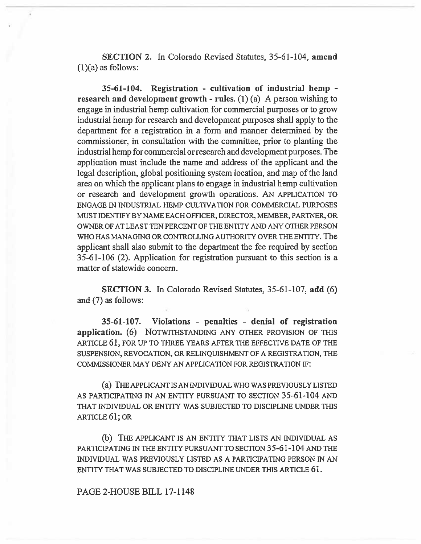**SECTION 2. In** Colorado Revised Statutes, 35-61-104, **amend**   $(1)(a)$  as follows:

**35-61-104. Registration - cultivation of industrial hemp research and development growth - rules.** (1) (a) A person wishing to engage in industrial **hemp** cultivation for commercial purposes or to grow industrial hemp for research and development purposes shall apply to the department for a registration in a form and manner determined by the commissioner, in consultation with the committee, prior to planting **the**  industrial hemp for commercial or research and development purposes. **The**  application must include the name and address of the applicant and the legal description, global positioning system location, and map of the land area on which the applicant plans to engage in industrial hemp cultivation or research and development growth operations. AN APPLICATION TO ENGAGE IN INDUSTRIAL HEMP CULTIVATION FOR COMMERCIAL PURPOSES MUST IDENTIFY BY NAME EACH OFFICER, DIRECTOR, MEMBER, PARTNER, OR OWNER OF AT LEAST TEN PERCENT OF THE ENTITY AND ANY OTHER PERSON WHO HAS MANAGING OR CONTROLLING AUTHORITY OVER THE ENTITY. **The applicant shall also submit to the department the fee required by section 35-61-106 (2). Application for registration pursuant to this section is a matter of statewide concern.** 

**SECTION 3. In Colorado Revised Statutes, 35-61-107, add (6) and (7) as follows:** 

**35-61-107. Violations - penalties - denial of registratio**❑ **application. (6)** NOTWITHSTANDING ANY OTHER PROVISION OF THIS ARTICLE **61,** FOR UP TO THREE YEARS AFTER THE EFFECTIVE DATE OF THE SUSPENSION, REVOCATION, OR RELINQUISHMENT OF A REGISTRATION, THE COMMISSIONER MAY DENY AN APPLICATION FOR REGISTRATION IF:

(a) THE APPLICANT IS AN INDIVIDUAL WHO WAS PREVIOUSLY LISTED AS PARTICIPATING IN AN ENTITY PURSUANT TO SECTION **35-61-104** AND THAT INDIVIDUAL OR ENTITY WAS SUBJECTED TO DISCIPLINE UNDER THIS ARTICLE 61; OR

(b) THE APPLICANT IS AN ENTITY THAT LISTS AN INDIVIDUAL AS PARTICIPATING IN THE ENTITY PURSUANT TO SECTION **35-61-104** AND THE INDIVIDUAL WAS PREVIOUSLY LISTED AS A PARTICIPATING PERSON IN AN ENTITY THAT WAS SUBJECTED TO DISCIPLINE UNDER THIS ARTICLE 61.

## PAGE **2-HOUSE BILL 17-1148**